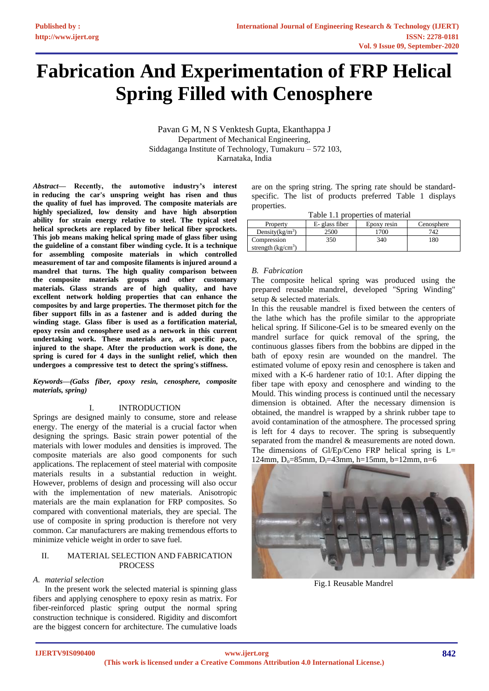# **Fabrication And Experimentation of FRP Helical Spring Filled with Cenosphere**

Pavan G M, N S Venktesh Gupta, Ekanthappa J Department of Mechanical Engineering, Siddaganga Institute of Technology, Tumakuru – 572 103, Karnataka, India

*Abstract***— Recently, the automotive industry's interest in reducing the car's unspring weight has risen and thus the quality of fuel has improved. The composite materials are highly specialized, low density and have high absorption ability for strain energy relative to steel. The typical steel helical sprockets are replaced by fiber helical fiber sprockets. This job means making helical spring made of glass fiber using the guideline of a constant fiber winding cycle. It is a technique for assembling composite materials in which controlled measurement of tar and composite filaments is injured around a mandrel that turns. The high quality comparison between the composite materials groups and other customary materials. Glass strands are of high quality, and have excellent network holding properties that can enhance the composites by and large properties. The thermoset pitch for the fiber support fills in as a fastener and is added during the winding stage. Glass fiber is used as a fortification material, epoxy resin and cenosphere used as a network in this current undertaking work. These materials are, at specific pace, injured to the shape. After the production work is done, the spring is cured for 4 days in the sunlight relief, which then undergoes a compressive test to detect the spring's stiffness.** 

#### *Keywords—(Galss fiber, epoxy resin, cenosphere, composite materials, spring)*

## I. INTRODUCTION

Springs are designed mainly to consume, store and release energy. The energy of the material is a crucial factor when designing the springs. Basic strain power potential of the materials with lower modules and densities is improved. The composite materials are also good components for such applications. The replacement of steel material with composite materials results in a substantial reduction in weight. However, problems of design and processing will also occur with the implementation of new materials. Anisotropic materials are the main explanation for FRP composites. So compared with conventional materials, they are special. The use of composite in spring production is therefore not very common. Car manufacturers are making tremendous efforts to minimize vehicle weight in order to save fuel.

## II. MATERIAL SELECTION AND FABRICATION **PROCESS**

## *A. material selection*

In the present work the selected material is spinning glass fibers and applying cenosphere to epoxy resin as matrix. For fiber-reinforced plastic spring output the normal spring construction technique is considered. Rigidity and discomfort are the biggest concern for architecture. The cumulative loads are on the spring string. The spring rate should be standardspecific. The list of products preferred Table 1 displays properties.

| Property                            | E- glass fiber | Epoxy resin | Cenosphere |
|-------------------------------------|----------------|-------------|------------|
| Density $(kg/m^3)$                  | 2500           | 700         | 747        |
| Compression<br>strength $(kg/cm^3)$ | 350            | 340         | 180        |

## *B. Fabrication*

The composite helical spring was produced using the prepared reusable mandrel, developed "Spring Winding" setup & selected materials.

In this the reusable mandrel is fixed between the centers of the lathe which has the profile similar to the appropriate helical spring. If Silicone-Gel is to be smeared evenly on the mandrel surface for quick removal of the spring, the continuous glasses fibers from the bobbins are dipped in the bath of epoxy resin are wounded on the mandrel. The estimated volume of epoxy resin and cenosphere is taken and mixed with a K-6 hardener ratio of 10:1. After dipping the fiber tape with epoxy and cenosphere and winding to the Mould. This winding process is continued until the necessary dimension is obtained. After the necessary dimension is obtained, the mandrel is wrapped by a shrink rubber tape to avoid contamination of the atmosphere. The processed spring is left for 4 days to recover. The spring is subsequently separated from the mandrel & measurements are noted down. The dimensions of Gl/Ep/Ceno FRP helical spring is  $L=$ 124mm,  $D_0 = 85$ mm,  $D_1 = 43$ mm,  $h = 15$ mm,  $b = 12$ mm,  $n = 6$ 



Fig.1 Reusable Mandrel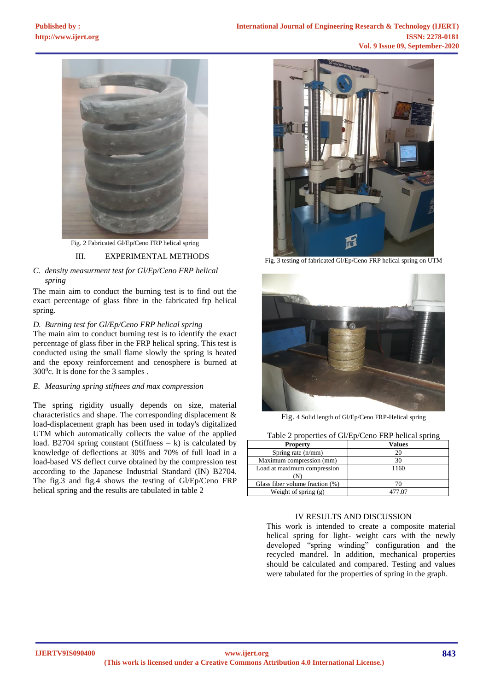

Fig. 2 Fabricated Gl/Ep/Ceno FRP helical spring

## III. EXPERIMENTAL METHODS

# *C. density measurment test for Gl/Ep/Ceno FRP helical spring*

The main aim to conduct the burning test is to find out the exact percentage of glass fibre in the fabricated frp helical spring.

## *D. Burning test for Gl/Ep/Ceno FRP helical spring*

The main aim to conduct burning test is to identify the exact percentage of glass fiber in the FRP helical spring. This test is conducted using the small flame slowly the spring is heated and the epoxy reinforcement and cenosphere is burned at  $300^{\circ}$ c. It is done for the 3 samples.

## *E. Measuring spring stifnees and max compression*

The spring rigidity usually depends on size, material characteristics and shape. The corresponding displacement & load-displacement graph has been used in today's digitalized UTM which automatically collects the value of the applied load. B2704 spring constant (Stiffness  $- k$ ) is calculated by knowledge of deflections at 30% and 70% of full load in a load-based VS deflect curve obtained by the compression test according to the Japanese Industrial Standard (IN) B2704. The fig.3 and fig.4 shows the testing of Gl/Ep/Ceno FRP helical spring and the results are tabulated in table 2



Fig. 3 testing of fabricated Gl/Ep/Ceno FRP helical spring on UTM



Fig. 4 Solid length of Gl/Ep/Ceno FRP-Helical spring

| Table 2 properties of GI/Ep/Ceno FRP netical spring |               |  |
|-----------------------------------------------------|---------------|--|
| <b>Property</b>                                     | <b>Values</b> |  |
| Spring rate (n/mm)                                  | 20            |  |
| Maximum compression (mm)                            | 30            |  |
| Load at maximum compression                         | 1160          |  |
| M)                                                  |               |  |
| Glass fiber volume fraction (%)                     |               |  |
| Weight of spring $(g)$                              | 477.07        |  |

# Table 2 properties of Gl/Ep/Ceno FRP helical spring

#### IV RESULTS AND DISCUSSION

This work is intended to create a composite material helical spring for light- weight cars with the newly developed "spring winding" configuration and the recycled mandrel. In addition, mechanical properties should be calculated and compared. Testing and values were tabulated for the properties of spring in the graph.